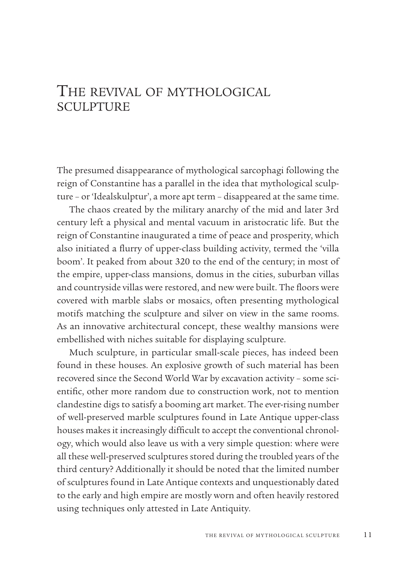## THE REVIVAL OF MYTHOLOGICAL SCULPTURE

The presumed disappearance of mythological sarcophagi following the reign of Constantine has a parallel in the idea that mythological sculpture – or 'Idealskulptur', a more apt term – disappeared at the same time.

 The chaos created by the military anarchy of the mid and later 3rd century left a physical and mental vacuum in aristocratic life. But the reign of Constantine inaugurated a time of peace and prosperity, which also initiated a flurry of upper-class building activity, termed the 'villa boom'. It peaked from about 320 to the end of the century; in most of the empire, upper-class mansions, domus in the cities, suburban villas and countryside villas were restored, and new were built. The floors were covered with marble slabs or mosaics, often presenting mythological motifs matching the sculpture and silver on view in the same rooms. As an innovative architectural concept, these wealthy mansions were embellished with niches suitable for displaying sculpture.

 Much sculpture, in particular small-scale pieces, has indeed been found in these houses. An explosive growth of such material has been recovered since the Second World War by excavation activity – some scientific, other more random due to construction work, not to mention clandestine digs to satisfy a booming art market. The ever-rising number of well-preserved marble sculptures found in Late Antique upper-class houses makes it increasingly difficult to accept the conventional chronology, which would also leave us with a very simple question: where were all these well-preserved sculptures stored during the troubled years of the third century? Additionally it should be noted that the limited number of sculptures found in Late Antique contexts and unquestionably dated to the early and high empire are mostly worn and often heavily restored using techniques only attested in Late Antiquity.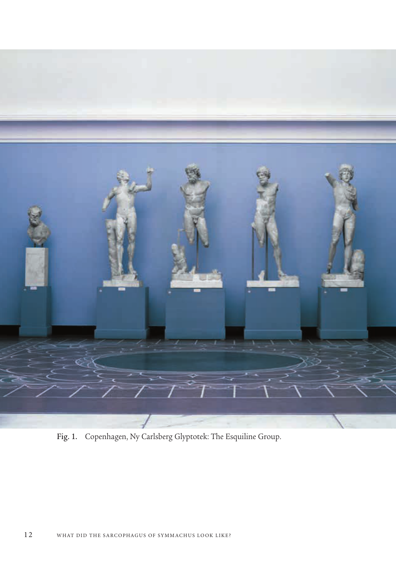

Fig. 1. Copenhagen, Ny Carlsberg Glyptotek: The Esquiline Group.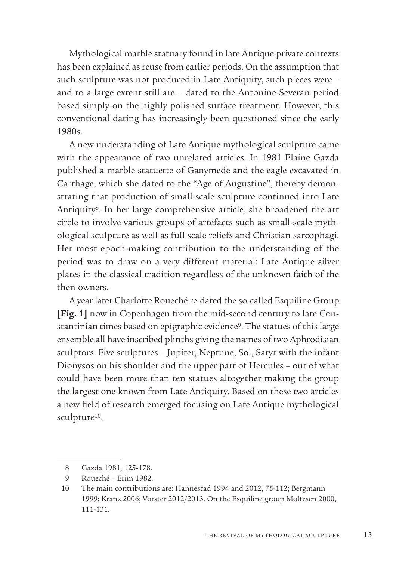Mythological marble statuary found in late Antique private contexts has been explained as reuse from earlier periods. On the assumption that such sculpture was not produced in Late Antiquity, such pieces were – and to a large extent still are – dated to the Antonine-Severan period based simply on the highly polished surface treatment. However, this conventional dating has increasingly been questioned since the early 1980s.

A new understanding of Late Antique mythological sculpture came with the appearance of two unrelated articles. In 1981 Elaine Gazda published a marble statuette of Ganymede and the eagle excavated in Carthage, which she dated to the "Age of Augustine", thereby demonstrating that production of small-scale sculpture continued into Late Antiquity8. In her large comprehensive article, she broadened the art circle to involve various groups of artefacts such as small-scale mythological sculpture as well as full scale reliefs and Christian sarcophagi. Her most epoch-making contribution to the understanding of the period was to draw on a very different material: Late Antique silver plates in the classical tradition regardless of the unknown faith of the then owners.

 A year later Charlotte Roueché re-dated the so-called Esquiline Group **[Fig. 1]** now in Copenhagen from the mid-second century to late Constantinian times based on epigraphic evidence9. The statues of this large ensemble all have inscribed plinths giving the names of two Aphrodisian sculptors. Five sculptures – Jupiter, Neptune, Sol, Satyr with the infant Dionysos on his shoulder and the upper part of Hercules – out of what could have been more than ten statues altogether making the group the largest one known from Late Antiquity. Based on these two articles a new field of research emerged focusing on Late Antique mythological sculpture<sup>10</sup>.

 <sup>8</sup> Gazda 1981, 125-178.

 <sup>9</sup> Roueché – Erim 1982.

 <sup>10</sup> The main contributions are: Hannestad 1994 and 2012, 75-112; Bergmann 1999; Kranz 2006; Vorster 2012/2013. On the Esquiline group Moltesen 2000, 111-131.